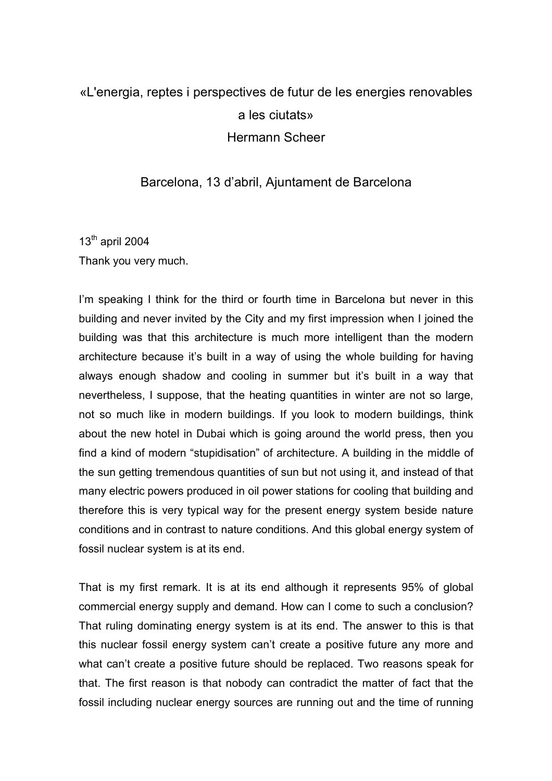## «L'energia, reptes i perspectives de futur de les energies renovables a les ciutats» Hermann Scheer

## Barcelona, 13 d'abril, Ajuntament de Barcelona

 $13<sup>th</sup>$  april 2004 Thank you very much.

I'm speaking I think for the third or fourth time in Barcelona but never in this building and never invited by the City and my first impression when I joined the building was that this architecture is much more intelligent than the modern architecture because it's built in a way of using the whole building for having always enough shadow and cooling in summer but it's built in a way that nevertheless, I suppose, that the heating quantities in winter are not so large, not so much like in modern buildings. If you look to modern buildings, think about the new hotel in Dubai which is going around the world press, then you find a kind of modern "stupidisation" of architecture. A building in the middle of the sun getting tremendous quantities of sun but not using it, and instead of that many electric powers produced in oil power stations for cooling that building and therefore this is very typical way for the present energy system beside nature conditions and in contrast to nature conditions. And this global energy system of fossil nuclear system is at its end.

That is my first remark. It is at its end although it represents 95% of global commercial energy supply and demand. How can I come to such a conclusion? That ruling dominating energy system is at its end. The answer to this is that this nuclear fossil energy system can't create a positive future any more and what can't create a positive future should be replaced. Two reasons speak for that. The first reason is that nobody can contradict the matter of fact that the fossil including nuclear energy sources are running out and the time of running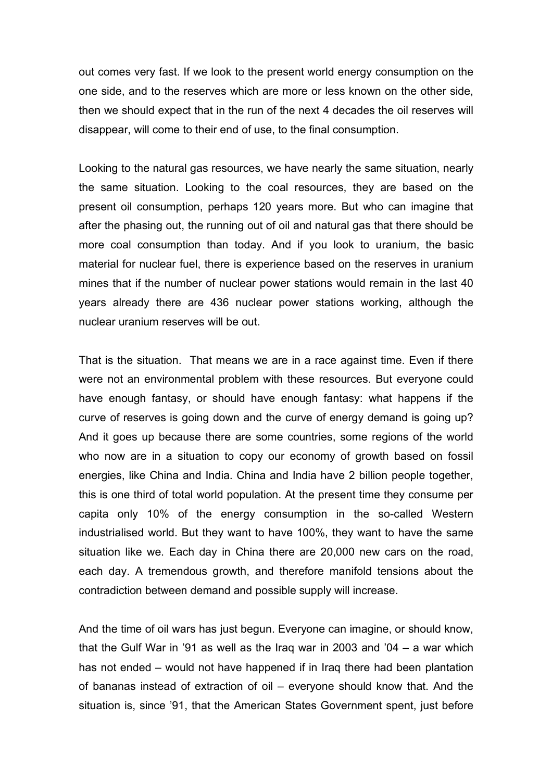out comes very fast. If we look to the present world energy consumption on the one side, and to the reserves which are more or less known on the other side, then we should expect that in the run of the next 4 decades the oil reserves will disappear, will come to their end of use, to the final consumption.

Looking to the natural gas resources, we have nearly the same situation, nearly the same situation. Looking to the coal resources, they are based on the present oil consumption, perhaps 120 years more. But who can imagine that after the phasing out, the running out of oil and natural gas that there should be more coal consumption than today. And if you look to uranium, the basic material for nuclear fuel, there is experience based on the reserves in uranium mines that if the number of nuclear power stations would remain in the last 40 years already there are 436 nuclear power stations working, although the nuclear uranium reserves will be out.

That is the situation. That means we are in a race against time. Even if there were not an environmental problem with these resources. But everyone could have enough fantasy, or should have enough fantasy: what happens if the curve of reserves is going down and the curve of energy demand is going up? And it goes up because there are some countries, some regions of the world who now are in a situation to copy our economy of growth based on fossil energies, like China and India. China and India have 2 billion people together, this is one third of total world population. At the present time they consume per capita only 10% of the energy consumption in the so-called Western industrialised world. But they want to have 100%, they want to have the same situation like we. Each day in China there are 20,000 new cars on the road, each day. A tremendous growth, and therefore manifold tensions about the contradiction between demand and possible supply will increase.

And the time of oil wars has just begun. Everyone can imagine, or should know, that the Gulf War in '91 as well as the Iraq war in 2003 and '04 – a war which has not ended – would not have happened if in Iraq there had been plantation of bananas instead of extraction of oil – everyone should know that. And the situation is, since '91, that the American States Government spent, just before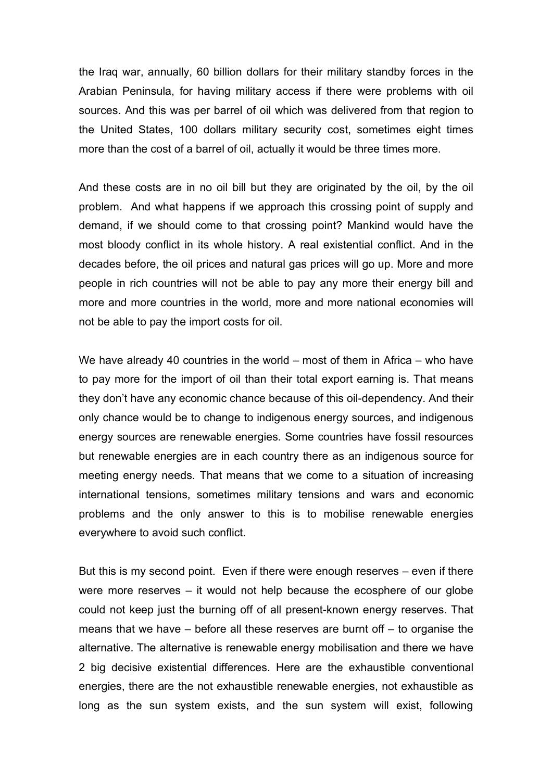the Iraq war, annually, 60 billion dollars for their military standby forces in the Arabian Peninsula, for having military access if there were problems with oil sources. And this was per barrel of oil which was delivered from that region to the United States, 100 dollars military security cost, sometimes eight times more than the cost of a barrel of oil, actually it would be three times more.

And these costs are in no oil bill but they are originated by the oil, by the oil problem. And what happens if we approach this crossing point of supply and demand, if we should come to that crossing point? Mankind would have the most bloody conflict in its whole history. A real existential conflict. And in the decades before, the oil prices and natural gas prices will go up. More and more people in rich countries will not be able to pay any more their energy bill and more and more countries in the world, more and more national economies will not be able to pay the import costs for oil.

We have already 40 countries in the world – most of them in Africa – who have to pay more for the import of oil than their total export earning is. That means they don't have any economic chance because of this oil-dependency. And their only chance would be to change to indigenous energy sources, and indigenous energy sources are renewable energies. Some countries have fossil resources but renewable energies are in each country there as an indigenous source for meeting energy needs. That means that we come to a situation of increasing international tensions, sometimes military tensions and wars and economic problems and the only answer to this is to mobilise renewable energies everywhere to avoid such conflict.

But this is my second point. Even if there were enough reserves – even if there were more reserves – it would not help because the ecosphere of our globe could not keep just the burning off of all present-known energy reserves. That means that we have – before all these reserves are burnt off – to organise the alternative. The alternative is renewable energy mobilisation and there we have 2 big decisive existential differences. Here are the exhaustible conventional energies, there are the not exhaustible renewable energies, not exhaustible as long as the sun system exists, and the sun system will exist, following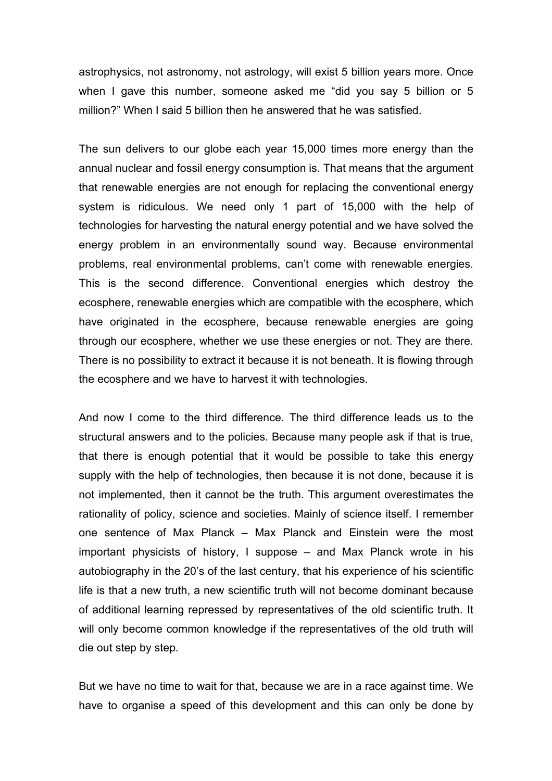astrophysics, not astronomy, not astrology, will exist 5 billion years more. Once when I gave this number, someone asked me "did you say 5 billion or 5 million?" When I said 5 billion then he answered that he was satisfied.

The sun delivers to our globe each year 15,000 times more energy than the annual nuclear and fossil energy consumption is. That means that the argument that renewable energies are not enough for replacing the conventional energy system is ridiculous. We need only 1 part of 15,000 with the help of technologies for harvesting the natural energy potential and we have solved the energy problem in an environmentally sound way. Because environmental problems, real environmental problems, can't come with renewable energies. This is the second difference. Conventional energies which destroy the ecosphere, renewable energies which are compatible with the ecosphere, which have originated in the ecosphere, because renewable energies are going through our ecosphere, whether we use these energies or not. They are there. There is no possibility to extract it because it is not beneath. It is flowing through the ecosphere and we have to harvest it with technologies.

And now I come to the third difference. The third difference leads us to the structural answers and to the policies. Because many people ask if that is true, that there is enough potential that it would be possible to take this energy supply with the help of technologies, then because it is not done, because it is not implemented, then it cannot be the truth. This argument overestimates the rationality of policy, science and societies. Mainly of science itself. I remember one sentence of Max Planck – Max Planck and Einstein were the most important physicists of history, I suppose – and Max Planck wrote in his autobiography in the 20's of the last century, that his experience of his scientific life is that a new truth, a new scientific truth will not become dominant because of additional learning repressed by representatives of the old scientific truth. It will only become common knowledge if the representatives of the old truth will die out step by step.

But we have no time to wait for that, because we are in a race against time. We have to organise a speed of this development and this can only be done by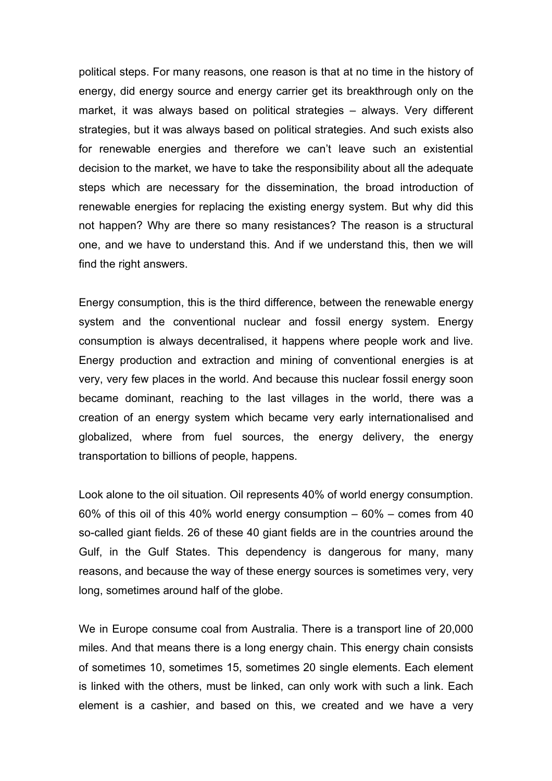political steps. For many reasons, one reason is that at no time in the history of energy, did energy source and energy carrier get its breakthrough only on the market, it was always based on political strategies – always. Very different strategies, but it was always based on political strategies. And such exists also for renewable energies and therefore we can't leave such an existential decision to the market, we have to take the responsibility about all the adequate steps which are necessary for the dissemination, the broad introduction of renewable energies for replacing the existing energy system. But why did this not happen? Why are there so many resistances? The reason is a structural one, and we have to understand this. And if we understand this, then we will find the right answers.

Energy consumption, this is the third difference, between the renewable energy system and the conventional nuclear and fossil energy system. Energy consumption is always decentralised, it happens where people work and live. Energy production and extraction and mining of conventional energies is at very, very few places in the world. And because this nuclear fossil energy soon became dominant, reaching to the last villages in the world, there was a creation of an energy system which became very early internationalised and globalized, where from fuel sources, the energy delivery, the energy transportation to billions of people, happens.

Look alone to the oil situation. Oil represents 40% of world energy consumption. 60% of this oil of this 40% world energy consumption – 60% – comes from 40 so-called giant fields. 26 of these 40 giant fields are in the countries around the Gulf, in the Gulf States. This dependency is dangerous for many, many reasons, and because the way of these energy sources is sometimes very, very long, sometimes around half of the globe.

We in Europe consume coal from Australia. There is a transport line of 20,000 miles. And that means there is a long energy chain. This energy chain consists of sometimes 10, sometimes 15, sometimes 20 single elements. Each element is linked with the others, must be linked, can only work with such a link. Each element is a cashier, and based on this, we created and we have a very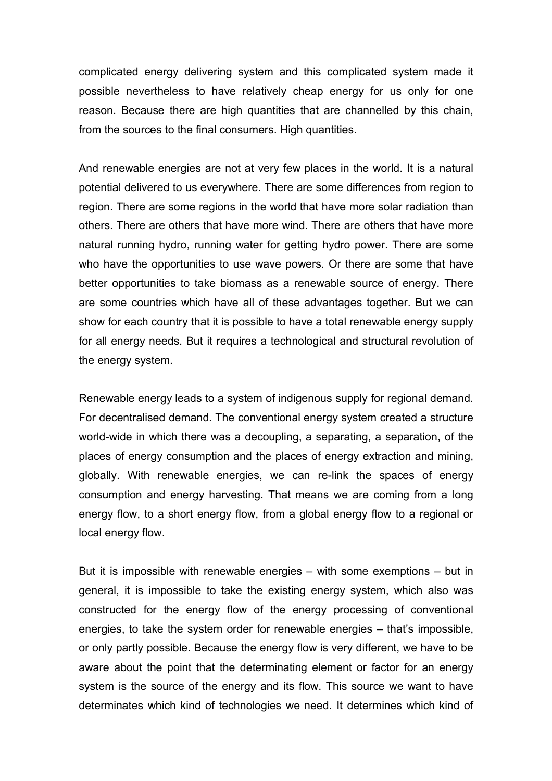complicated energy delivering system and this complicated system made it possible nevertheless to have relatively cheap energy for us only for one reason. Because there are high quantities that are channelled by this chain, from the sources to the final consumers. High quantities.

And renewable energies are not at very few places in the world. It is a natural potential delivered to us everywhere. There are some differences from region to region. There are some regions in the world that have more solar radiation than others. There are others that have more wind. There are others that have more natural running hydro, running water for getting hydro power. There are some who have the opportunities to use wave powers. Or there are some that have better opportunities to take biomass as a renewable source of energy. There are some countries which have all of these advantages together. But we can show for each country that it is possible to have a total renewable energy supply for all energy needs. But it requires a technological and structural revolution of the energy system.

Renewable energy leads to a system of indigenous supply for regional demand. For decentralised demand. The conventional energy system created a structure world-wide in which there was a decoupling, a separating, a separation, of the places of energy consumption and the places of energy extraction and mining, globally. With renewable energies, we can re-link the spaces of energy consumption and energy harvesting. That means we are coming from a long energy flow, to a short energy flow, from a global energy flow to a regional or local energy flow.

But it is impossible with renewable energies – with some exemptions – but in general, it is impossible to take the existing energy system, which also was constructed for the energy flow of the energy processing of conventional energies, to take the system order for renewable energies – that's impossible, or only partly possible. Because the energy flow is very different, we have to be aware about the point that the determinating element or factor for an energy system is the source of the energy and its flow. This source we want to have determinates which kind of technologies we need. It determines which kind of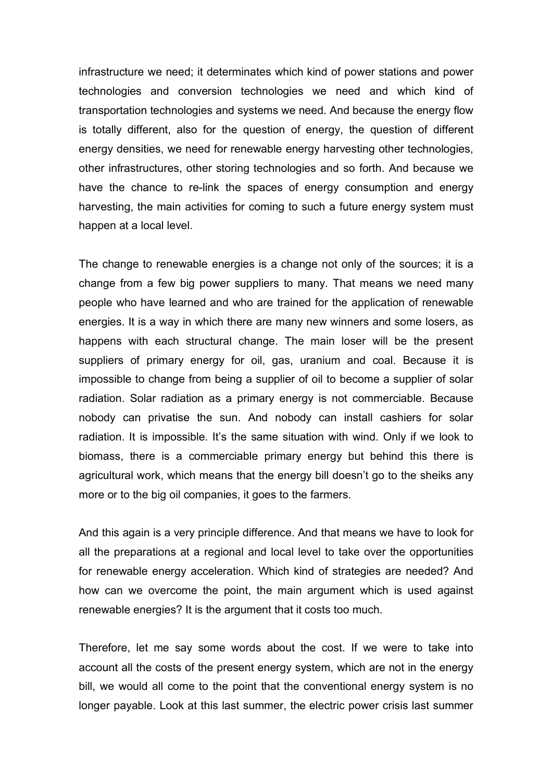infrastructure we need; it determinates which kind of power stations and power technologies and conversion technologies we need and which kind of transportation technologies and systems we need. And because the energy flow is totally different, also for the question of energy, the question of different energy densities, we need for renewable energy harvesting other technologies, other infrastructures, other storing technologies and so forth. And because we have the chance to re-link the spaces of energy consumption and energy harvesting, the main activities for coming to such a future energy system must happen at a local level.

The change to renewable energies is a change not only of the sources; it is a change from a few big power suppliers to many. That means we need many people who have learned and who are trained for the application of renewable energies. It is a way in which there are many new winners and some losers, as happens with each structural change. The main loser will be the present suppliers of primary energy for oil, gas, uranium and coal. Because it is impossible to change from being a supplier of oil to become a supplier of solar radiation. Solar radiation as a primary energy is not commerciable. Because nobody can privatise the sun. And nobody can install cashiers for solar radiation. It is impossible. It's the same situation with wind. Only if we look to biomass, there is a commerciable primary energy but behind this there is agricultural work, which means that the energy bill doesn't go to the sheiks any more or to the big oil companies, it goes to the farmers.

And this again is a very principle difference. And that means we have to look for all the preparations at a regional and local level to take over the opportunities for renewable energy acceleration. Which kind of strategies are needed? And how can we overcome the point, the main argument which is used against renewable energies? It is the argument that it costs too much.

Therefore, let me say some words about the cost. If we were to take into account all the costs of the present energy system, which are not in the energy bill, we would all come to the point that the conventional energy system is no longer payable. Look at this last summer, the electric power crisis last summer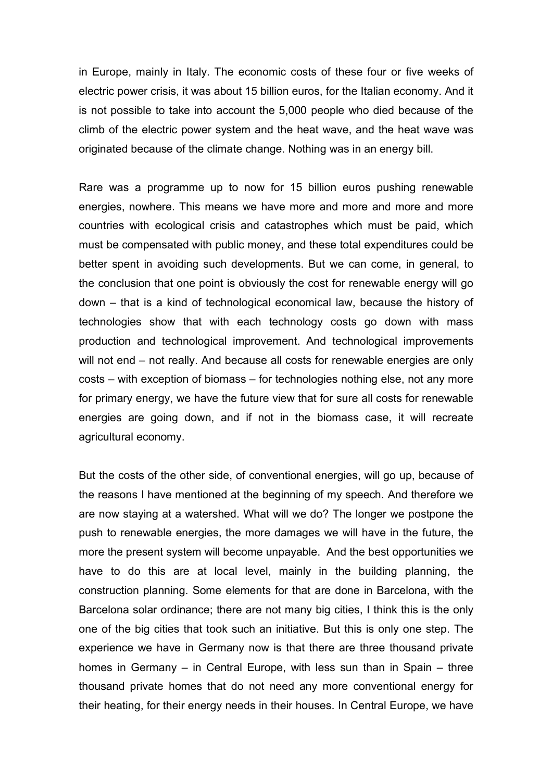in Europe, mainly in Italy. The economic costs of these four or five weeks of electric power crisis, it was about 15 billion euros, for the Italian economy. And it is not possible to take into account the 5,000 people who died because of the climb of the electric power system and the heat wave, and the heat wave was originated because of the climate change. Nothing was in an energy bill.

Rare was a programme up to now for 15 billion euros pushing renewable energies, nowhere. This means we have more and more and more and more countries with ecological crisis and catastrophes which must be paid, which must be compensated with public money, and these total expenditures could be better spent in avoiding such developments. But we can come, in general, to the conclusion that one point is obviously the cost for renewable energy will go down – that is a kind of technological economical law, because the history of technologies show that with each technology costs go down with mass production and technological improvement. And technological improvements will not end – not really. And because all costs for renewable energies are only costs – with exception of biomass – for technologies nothing else, not any more for primary energy, we have the future view that for sure all costs for renewable energies are going down, and if not in the biomass case, it will recreate agricultural economy.

But the costs of the other side, of conventional energies, will go up, because of the reasons I have mentioned at the beginning of my speech. And therefore we are now staying at a watershed. What will we do? The longer we postpone the push to renewable energies, the more damages we will have in the future, the more the present system will become unpayable. And the best opportunities we have to do this are at local level, mainly in the building planning, the construction planning. Some elements for that are done in Barcelona, with the Barcelona solar ordinance; there are not many big cities, I think this is the only one of the big cities that took such an initiative. But this is only one step. The experience we have in Germany now is that there are three thousand private homes in Germany – in Central Europe, with less sun than in Spain – three thousand private homes that do not need any more conventional energy for their heating, for their energy needs in their houses. In Central Europe, we have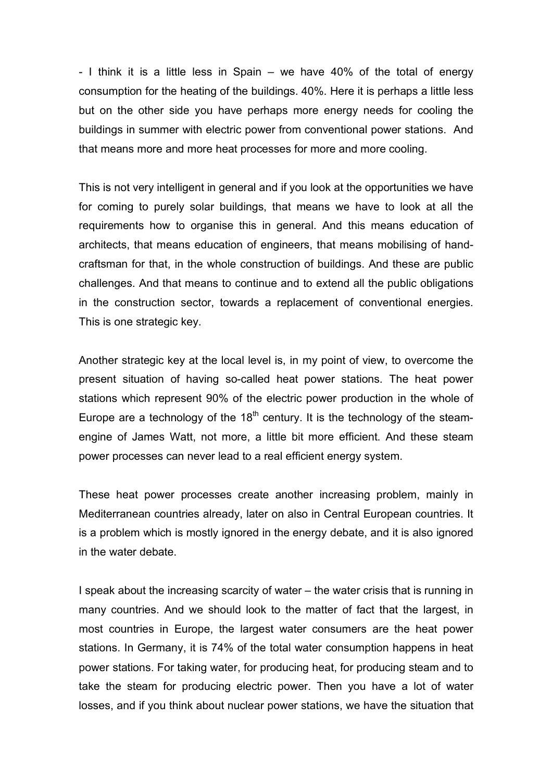- I think it is a little less in Spain – we have 40% of the total of energy consumption for the heating of the buildings. 40%. Here it is perhaps a little less but on the other side you have perhaps more energy needs for cooling the buildings in summer with electric power from conventional power stations. And that means more and more heat processes for more and more cooling.

This is not very intelligent in general and if you look at the opportunities we have for coming to purely solar buildings, that means we have to look at all the requirements how to organise this in general. And this means education of architects, that means education of engineers, that means mobilising of handcraftsman for that, in the whole construction of buildings. And these are public challenges. And that means to continue and to extend all the public obligations in the construction sector, towards a replacement of conventional energies. This is one strategic key.

Another strategic key at the local level is, in my point of view, to overcome the present situation of having so-called heat power stations. The heat power stations which represent 90% of the electric power production in the whole of Europe are a technology of the  $18<sup>th</sup>$  century. It is the technology of the steamengine of James Watt, not more, a little bit more efficient. And these steam power processes can never lead to a real efficient energy system.

These heat power processes create another increasing problem, mainly in Mediterranean countries already, later on also in Central European countries. It is a problem which is mostly ignored in the energy debate, and it is also ignored in the water debate.

I speak about the increasing scarcity of water – the water crisis that is running in many countries. And we should look to the matter of fact that the largest, in most countries in Europe, the largest water consumers are the heat power stations. In Germany, it is 74% of the total water consumption happens in heat power stations. For taking water, for producing heat, for producing steam and to take the steam for producing electric power. Then you have a lot of water losses, and if you think about nuclear power stations, we have the situation that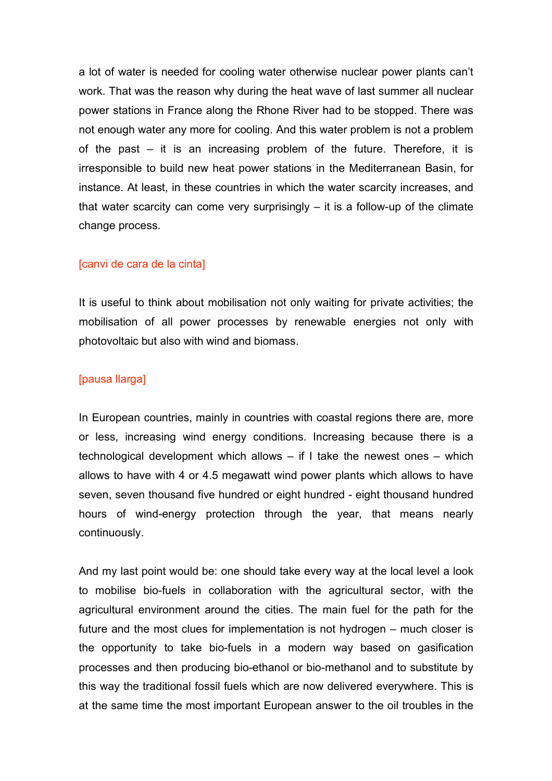a lot of water is needed for cooling water otherwise nuclear power plants can't work. That was the reason why during the heat wave of last summer all nuclear power stations in France along the Rhone River had to be stopped. There was not enough water any more for cooling. And this water problem is not a problem of the past – it is an increasing problem of the future. Therefore, it is irresponsible to build new heat power stations in the Mediterranean Basin, for instance. At least, in these countries in which the water scarcity increases, and that water scarcity can come very surprisingly  $-$  it is a follow-up of the climate change process.

## [canvi de cara de la cinta]

It is useful to think about mobilisation not only waiting for private activities; the mobilisation of all power processes by renewable energies not only with photovoltaic but also with wind and biomass.

## [pausa llarga]

In European countries, mainly in countries with coastal regions there are, more or less, increasing wind energy conditions. Increasing because there is a technological development which allows – if I take the newest ones – which allows to have with 4 or 4.5 megawatt wind power plants which allows to have seven, seven thousand five hundred or eight hundred - eight thousand hundred hours of wind-energy protection through the year, that means nearly continuously.

And my last point would be: one should take every way at the local level a look to mobilise bio-fuels in collaboration with the agricultural sector, with the agricultural environment around the cities. The main fuel for the path for the future and the most clues for implementation is not hydrogen – much closer is the opportunity to take bio-fuels in a modern way based on gasification processes and then producing bio-ethanol or bio-methanol and to substitute by this way the traditional fossil fuels which are now delivered everywhere. This is at the same time the most important European answer to the oil troubles in the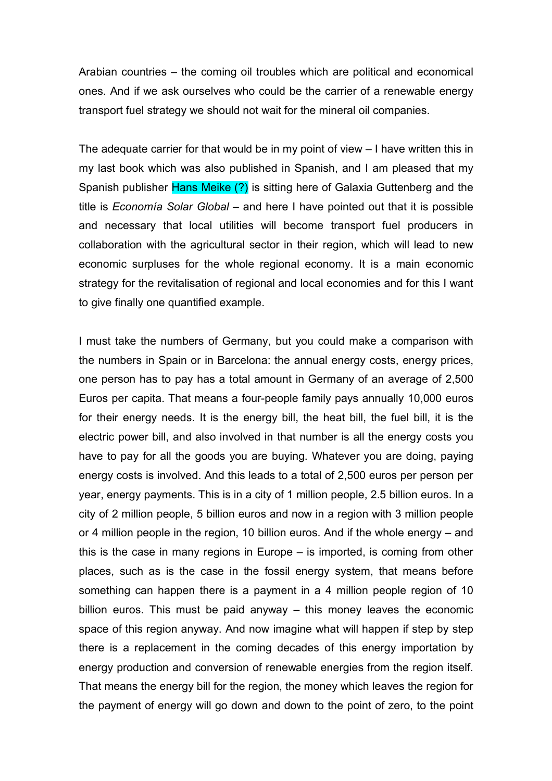Arabian countries – the coming oil troubles which are political and economical ones. And if we ask ourselves who could be the carrier of a renewable energy transport fuel strategy we should not wait for the mineral oil companies.

The adequate carrier for that would be in my point of view – I have written this in my last book which was also published in Spanish, and I am pleased that my Spanish publisher Hans Meike (?) is sitting here of Galaxia Guttenberg and the title is *Economía Solar Global* – and here I have pointed out that it is possible and necessary that local utilities will become transport fuel producers in collaboration with the agricultural sector in their region, which will lead to new economic surpluses for the whole regional economy. It is a main economic strategy for the revitalisation of regional and local economies and for this I want to give finally one quantified example.

I must take the numbers of Germany, but you could make a comparison with the numbers in Spain or in Barcelona: the annual energy costs, energy prices, one person has to pay has a total amount in Germany of an average of 2,500 Euros per capita. That means a four-people family pays annually 10,000 euros for their energy needs. It is the energy bill, the heat bill, the fuel bill, it is the electric power bill, and also involved in that number is all the energy costs you have to pay for all the goods you are buying. Whatever you are doing, paying energy costs is involved. And this leads to a total of 2,500 euros per person per year, energy payments. This is in a city of 1 million people, 2.5 billion euros. In a city of 2 million people, 5 billion euros and now in a region with 3 million people or 4 million people in the region, 10 billion euros. And if the whole energy – and this is the case in many regions in Europe – is imported, is coming from other places, such as is the case in the fossil energy system, that means before something can happen there is a payment in a 4 million people region of 10 billion euros. This must be paid anyway – this money leaves the economic space of this region anyway. And now imagine what will happen if step by step there is a replacement in the coming decades of this energy importation by energy production and conversion of renewable energies from the region itself. That means the energy bill for the region, the money which leaves the region for the payment of energy will go down and down to the point of zero, to the point